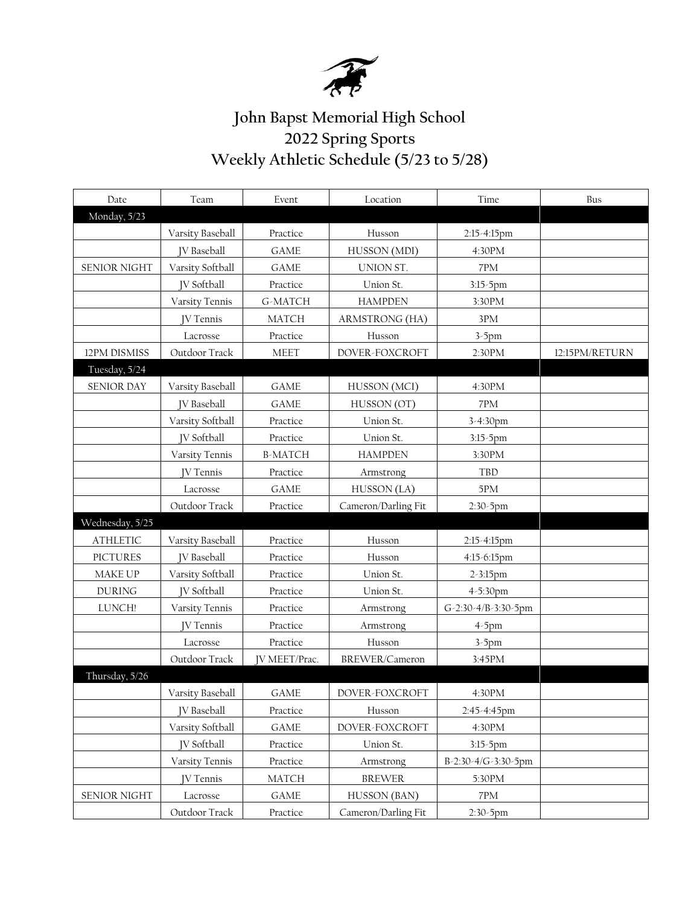

## **John Bapst Memorial High School 2022 Spring Sports Weekly Athletic Schedule (5/23 to 5/28)**

| Date                | Team               | Event                | Location            | Time                | Bus            |
|---------------------|--------------------|----------------------|---------------------|---------------------|----------------|
| Monday, 5/23        |                    |                      |                     |                     |                |
|                     | Varsity Baseball   | Practice             | Husson              | 2:15-4:15pm         |                |
|                     | <b>IV</b> Baseball | <b>GAME</b>          | HUSSON (MDI)        | 4:30PM              |                |
| <b>SENIOR NIGHT</b> | Varsity Softball   | <b>GAME</b>          | UNION ST.           | 7PM                 |                |
|                     | <b>IV</b> Softball | Practice             | Union St.           | $3:15-5$ pm         |                |
|                     | Varsity Tennis     | G-MATCH              | <b>HAMPDEN</b>      | 3:30PM              |                |
|                     | <b>IV</b> Tennis   | <b>MATCH</b>         | ARMSTRONG (HA)      | $3\mathrm{PM}$      |                |
|                     | Lacrosse           | Practice             | Husson              | $3-5$ pm            |                |
| 12PM DISMISS        | Outdoor Track      | <b>MEET</b>          | DOVER-FOXCROFT      | 2:30PM              | 12:15PM/RETURN |
| Tuesday, 5/24       |                    |                      |                     |                     |                |
| <b>SENIOR DAY</b>   | Varsity Baseball   | <b>GAME</b>          | HUSSON (MCI)        | 4:30PM              |                |
|                     | <b>IV</b> Baseball | <b>GAME</b>          | HUSSON (OT)         | 7PM                 |                |
|                     | Varsity Softball   | Practice             | Union St.           | 3-4:30pm            |                |
|                     | <b>IV</b> Softball | Practice             | Union St.           | $3:15-5$ pm         |                |
|                     | Varsity Tennis     | <b>B-MATCH</b>       | <b>HAMPDEN</b>      | 3:30PM              |                |
|                     | <b>IV Tennis</b>   | Practice             | Armstrong           | TBD                 |                |
|                     | Lacrosse           | <b>GAME</b>          | HUSSON (LA)         | 5PM                 |                |
|                     | Outdoor Track      | Practice             | Cameron/Darling Fit | 2:30-5pm            |                |
| Wednesday, 5/25     |                    |                      |                     |                     |                |
| <b>ATHLETIC</b>     | Varsity Baseball   | Practice             | Husson              | 2:15-4:15pm         |                |
| <b>PICTURES</b>     | <b>JV</b> Baseball | Practice             | Husson              | 4:15-6:15pm         |                |
| MAKE UP             | Varsity Softball   | Practice             | Union St.           | 2-3:15pm            |                |
| <b>DURING</b>       | <b>IV</b> Softball | Practice             | Union St.           | 4-5:30pm            |                |
| LUNCH!              | Varsity Tennis     | Practice             | Armstrong           | G-2:30-4/B-3:30-5pm |                |
|                     | <b>IV Tennis</b>   | Practice             | Armstrong           | $4-5$ pm            |                |
|                     | Lacrosse           | Practice             | Husson              | $3-5$ pm            |                |
|                     | Outdoor Track      | <b>JV MEET/Prac.</b> | BREWER/Cameron      | 3:45PM              |                |
| Thursday, 5/26      |                    |                      |                     |                     |                |
|                     | Varsity Baseball   | <b>GAME</b>          | DOVER-FOXCROFT      | 4:30PM              |                |
|                     | <b>JV</b> Baseball | Practice             | Husson              | 2:45-4:45pm         |                |
|                     | Varsity Softball   | <b>GAME</b>          | DOVER-FOXCROFT      | 4:30PM              |                |
|                     | <b>IV</b> Softball | Practice             | Union St.           | $3:15-5$ pm         |                |
|                     | Varsity Tennis     | Practice             | Armstrong           | B-2:30-4/G-3:30-5pm |                |
|                     | <b>IV Tennis</b>   | <b>MATCH</b>         | <b>BREWER</b>       | 5:30PM              |                |
| <b>SENIOR NIGHT</b> | Lacrosse           | <b>GAME</b>          | HUSSON (BAN)        | $7\mathrm{PM}$      |                |
|                     | Outdoor Track      | Practice             | Cameron/Darling Fit | 2:30-5pm            |                |